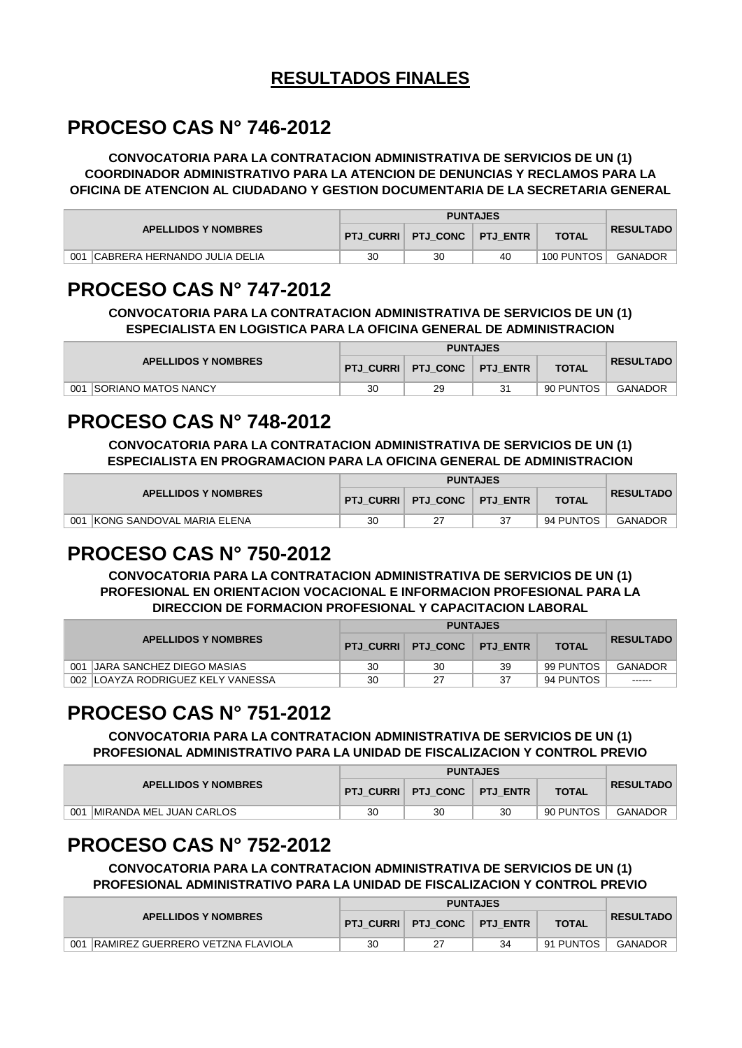#### **RESULTADOS FINALES**

## **PROCESO CAS N° 746-2012**

**CONVOCATORIA PARA LA CONTRATACION ADMINISTRATIVA DE SERVICIOS DE UN (1) COORDINADOR ADMINISTRATIVO PARA LA ATENCION DE DENUNCIAS Y RECLAMOS PARA LA OFICINA DE ATENCION AL CIUDADANO Y GESTION DOCUMENTARIA DE LA SECRETARIA GENERAL**

|                                      |    | <b>PUNTAJES</b>                 |    |              |                  |  |  |
|--------------------------------------|----|---------------------------------|----|--------------|------------------|--|--|
| <b>APELLIDOS Y NOMBRES</b>           |    | PTJ CURRI   PTJ CONC   PTJ ENTR |    | <b>TOTAL</b> | <b>RESULTADO</b> |  |  |
| ICABRERA HERNANDO JULIA DELIA<br>001 | 30 | 30                              | 40 | 100 PUNTOS   | GANADOR          |  |  |

#### **PROCESO CAS N° 747-2012**

**CONVOCATORIA PARA LA CONTRATACION ADMINISTRATIVA DE SERVICIOS DE UN (1) ESPECIALISTA EN LOGISTICA PARA LA OFICINA GENERAL DE ADMINISTRACION**

|                                    |    |                      | <b>PUNTAJES</b> |              |                  |
|------------------------------------|----|----------------------|-----------------|--------------|------------------|
| <b>APELLIDOS Y NOMBRES</b>         |    | PTJ_CURRI FTJ_CONC N | <b>PTJ ENTR</b> | <b>TOTAL</b> | <b>RESULTADO</b> |
| 001<br><b>ISORIANO MATOS NANCY</b> | 30 | 29                   |                 | 90 PUNTOS    | GANADOR          |

## **PROCESO CAS N° 748-2012**

**CONVOCATORIA PARA LA CONTRATACION ADMINISTRATIVA DE SERVICIOS DE UN (1) ESPECIALISTA EN PROGRAMACION PARA LA OFICINA GENERAL DE ADMINISTRACION**

| <b>APELLIDOS Y NOMBRES</b>        |    | <b>PTJ CURRI PTJ CONC PTJ ENTR</b> |  | <b>TOTAL</b> | <b>RESULTADO</b> |
|-----------------------------------|----|------------------------------------|--|--------------|------------------|
| IKONG SANDOVAL MARIA ELENA<br>001 | 30 |                                    |  | 94 PUNTOS    | <b>GANADOR</b>   |

## **PROCESO CAS N° 750-2012**

**CONVOCATORIA PARA LA CONTRATACION ADMINISTRATIVA DE SERVICIOS DE UN (1) PROFESIONAL EN ORIENTACION VOCACIONAL E INFORMACION PROFESIONAL PARA LA DIRECCION DE FORMACION PROFESIONAL Y CAPACITACION LABORAL**

|     | <b>APELLIDOS Y NOMBRES</b>         |    | PTJ CURRI PTJ CONC | <b>PTJ ENTR</b> | <b>TOTAL</b> | <b>RESULTADO</b> |
|-----|------------------------------------|----|--------------------|-----------------|--------------|------------------|
| 001 | JARA SANCHEZ DIEGO MASIAS          | 30 | 30                 | 39              | 99 PUNTOS    | <b>GANADOR</b>   |
|     | 002 ILOAYZA RODRIGUEZ KELY VANESSA | 30 | 27                 | 37              | 94 PUNTOS    | ------           |

## **PROCESO CAS N° 751-2012**

**CONVOCATORIA PARA LA CONTRATACION ADMINISTRATIVA DE SERVICIOS DE UN (1) PROFESIONAL ADMINISTRATIVO PARA LA UNIDAD DE FISCALIZACION Y CONTROL PREVIO**

| <b>APELLIDOS Y NOMBRES</b>      |    | PTJ CURRI FTJ CONC I | <b>PTJ ENTR</b> | <b>TOTAL</b> | <b>RESULTADO</b> |
|---------------------------------|----|----------------------|-----------------|--------------|------------------|
| 001<br>IMIRANDA MEL JUAN CARLOS | 30 | 30                   | 30              | 90 PUNTOS    | GANADOR          |

## **PROCESO CAS N° 752-2012**

**CONVOCATORIA PARA LA CONTRATACION ADMINISTRATIVA DE SERVICIOS DE UN (1) PROFESIONAL ADMINISTRATIVO PARA LA UNIDAD DE FISCALIZACION Y CONTROL PREVIO**

|                                          |    | <b>PUNTAJES</b> |                 |              |                  |  |  |
|------------------------------------------|----|-----------------|-----------------|--------------|------------------|--|--|
| <b>APELLIDOS Y NOMBRES</b>               |    |                 | <b>PTJ ENTR</b> | <b>TOTAL</b> | <b>RESULTADO</b> |  |  |
| 001<br> RAMIREZ GUERRERO VETZNA FLAVIOLA | 30 |                 | 34              | 91 PUNTOS    | GANADOR          |  |  |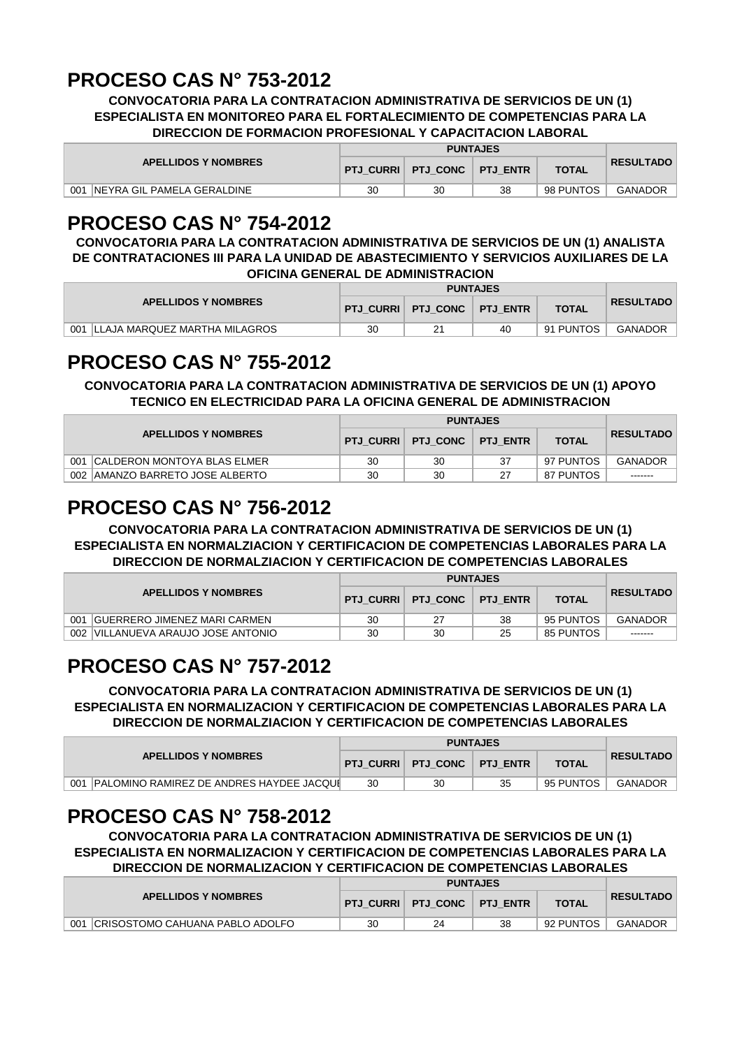## **PROCESO CAS N° 753-2012**

**CONVOCATORIA PARA LA CONTRATACION ADMINISTRATIVA DE SERVICIOS DE UN (1) ESPECIALISTA EN MONITOREO PARA EL FORTALECIMIENTO DE COMPETENCIAS PARA LA DIRECCION DE FORMACION PROFESIONAL Y CAPACITACION LABORAL**

| <b>APELLIDOS Y NOMBRES</b>      |    | PTJ CURRI   PTJ CONC   PTJ ENTR |    | <b>TOTAL</b> | <b>RESULTADO</b> |
|---------------------------------|----|---------------------------------|----|--------------|------------------|
| 001 INEYRA GIL PAMELA GERALDINE | 30 | 30                              | 38 | 98 PUNTOS    | GANADOR          |

#### **PROCESO CAS N° 754-2012**

**CONVOCATORIA PARA LA CONTRATACION ADMINISTRATIVA DE SERVICIOS DE UN (1) ANALISTA DE CONTRATACIONES III PARA LA UNIDAD DE ABASTECIMIENTO Y SERVICIOS AUXILIARES DE LA OFICINA GENERAL DE ADMINISTRACION**

|                                       |    |                      | <b>PUNTAJES</b> |              |                  |
|---------------------------------------|----|----------------------|-----------------|--------------|------------------|
| <b>APELLIDOS Y NOMBRES</b>            |    | PTJ_CURRI   PTJ_CONC | <b>PTJ ENTR</b> | <b>TOTAL</b> | <b>RESULTADO</b> |
| LLLAJA MARQUEZ MARTHA MILAGROS<br>001 | 30 |                      | 40              | 91 PUNTOS    | <b>GANADOR</b>   |

#### **PROCESO CAS N° 755-2012**

**CONVOCATORIA PARA LA CONTRATACION ADMINISTRATIVA DE SERVICIOS DE UN (1) APOYO TECNICO EN ELECTRICIDAD PARA LA OFICINA GENERAL DE ADMINISTRACION**

|                                     |    | <b>PUNTAJES</b>      |                 |              |                  |  |  |
|-------------------------------------|----|----------------------|-----------------|--------------|------------------|--|--|
| <b>APELLIDOS Y NOMBRES</b>          |    | PTJ CURRI   PTJ CONC | <b>PTJ ENTR</b> | <b>TOTAL</b> | <b>RESULTADO</b> |  |  |
| 001<br>ICALDERON MONTOYA BLAS ELMER | 30 | 30                   | 37              | 97 PUNTOS    | <b>GANADOR</b>   |  |  |
| IAMANZO BARRETO JOSE ALBERTO<br>002 | 30 | 30                   | 27              | 87 PUNTOS    | -------          |  |  |

## **PROCESO CAS N° 756-2012**

**CONVOCATORIA PARA LA CONTRATACION ADMINISTRATIVA DE SERVICIOS DE UN (1) ESPECIALISTA EN NORMALZIACION Y CERTIFICACION DE COMPETENCIAS LABORALES PARA LA DIRECCION DE NORMALZIACION Y CERTIFICACION DE COMPETENCIAS LABORALES**

|     | <b>APELLIDOS Y NOMBRES</b>           | <b>PTJ CURRII</b> | PTJ CONC FTJ ENTR |    | <b>TOTAL</b> | <b>RESULTADO</b> |
|-----|--------------------------------------|-------------------|-------------------|----|--------------|------------------|
| 001 | <b>IGUERRERO JIMENEZ MARI CARMEN</b> | 30                | 27                | 38 | 95 PUNTOS    | <b>GANADOR</b>   |
| 002 | VILLANUEVA ARAUJO JOSE ANTONIO       | 30                | 30                | 25 | 85 PUNTOS    | -------          |

# **PROCESO CAS N° 757-2012**

**CONVOCATORIA PARA LA CONTRATACION ADMINISTRATIVA DE SERVICIOS DE UN (1) ESPECIALISTA EN NORMALIZACION Y CERTIFICACION DE COMPETENCIAS LABORALES PARA LA DIRECCION DE NORMALZIACION Y CERTIFICACION DE COMPETENCIAS LABORALES**

| <b>APELLIDOS Y NOMBRES</b>                      |    | PTJ CURRI   PTJ CONC   PTJ ENTR |    | <b>TOTAL</b> | <b>RESULTADO</b> |
|-------------------------------------------------|----|---------------------------------|----|--------------|------------------|
| PALOMINO RAMIREZ DE ANDRES HAYDEE JACQUI<br>001 | 30 | 30                              | 35 | 95 PUNTOS    | GANADOR          |

## **PROCESO CAS N° 758-2012**

**CONVOCATORIA PARA LA CONTRATACION ADMINISTRATIVA DE SERVICIOS DE UN (1) ESPECIALISTA EN NORMALIZACION Y CERTIFICACION DE COMPETENCIAS LABORALES PARA LA DIRECCION DE NORMALIZACION Y CERTIFICACION DE COMPETENCIAS LABORALES**

| <b>APELLIDOS Y NOMBRES</b>              |    | PTJ CURRI   PTJ CONC | <b>PTJ ENTR</b> | <b>TOTAL</b> | <b>RESULTADO</b> |
|-----------------------------------------|----|----------------------|-----------------|--------------|------------------|
| 001<br>ICRISOSTOMO CAHUANA PABLO ADOLFO | 30 | 24                   | 38              | 92 PUNTOS    | <b>GANADOR</b>   |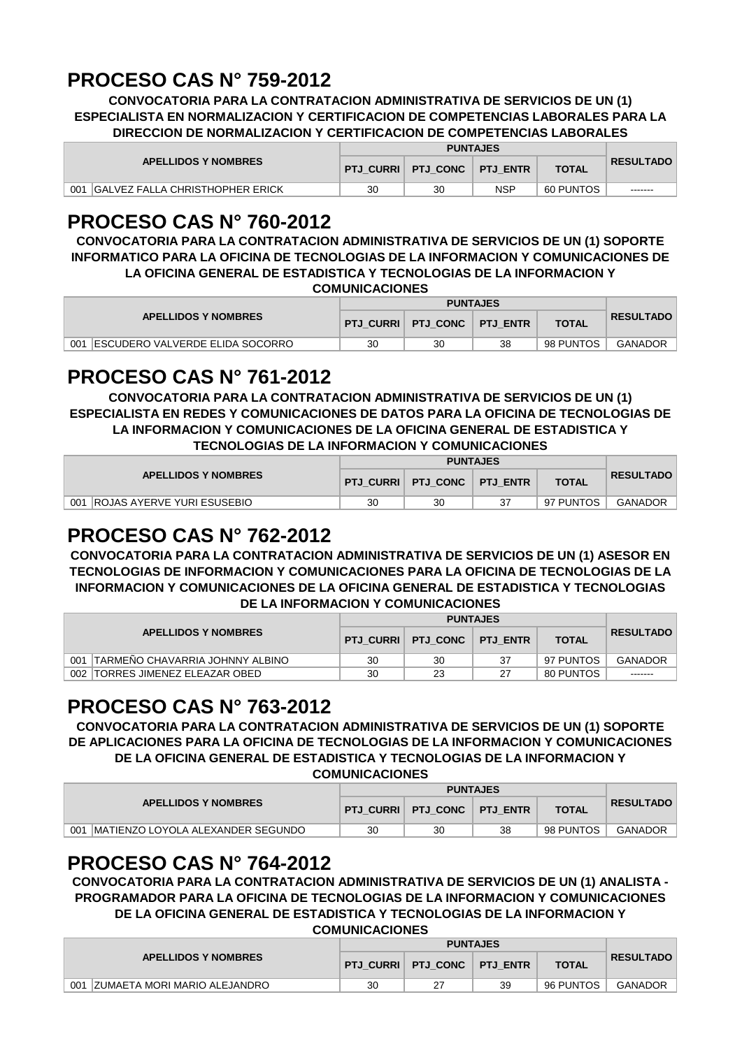## **PROCESO CAS N° 759-2012**

**CONVOCATORIA PARA LA CONTRATACION ADMINISTRATIVA DE SERVICIOS DE UN (1) ESPECIALISTA EN NORMALIZACION Y CERTIFICACION DE COMPETENCIAS LABORALES PARA LA DIRECCION DE NORMALIZACION Y CERTIFICACION DE COMPETENCIAS LABORALES**

| <b>APELLIDOS Y NOMBRES</b>              |    | <b>PTJ CURRI PTJ CONC PTJ ENTR</b> |            | <b>TOTAL</b> | <b>RESULTADO</b> |
|-----------------------------------------|----|------------------------------------|------------|--------------|------------------|
| 001<br>IGALVEZ FALLA CHRISTHOPHER ERICK | 30 | 30                                 | <b>NSP</b> | 60 PUNTOS    | -------          |

#### **PROCESO CAS N° 760-2012**

**CONVOCATORIA PARA LA CONTRATACION ADMINISTRATIVA DE SERVICIOS DE UN (1) SOPORTE INFORMATICO PARA LA OFICINA DE TECNOLOGIAS DE LA INFORMACION Y COMUNICACIONES DE LA OFICINA GENERAL DE ESTADISTICA Y TECNOLOGIAS DE LA INFORMACION Y COMUNICACIONES**

|                                         |    | <b>PUNTAJES</b>                 |    |              |                  |  |  |
|-----------------------------------------|----|---------------------------------|----|--------------|------------------|--|--|
| <b>APELLIDOS Y NOMBRES</b>              |    | PTJ CURRI   PTJ CONC   PTJ ENTR |    | <b>TOTAL</b> | <b>RESULTADO</b> |  |  |
| 001<br>IESCUDERO VALVERDE ELIDA SOCORRO | 30 | 30                              | 38 | 98 PUNTOS    | <b>GANADOR</b>   |  |  |

## **PROCESO CAS N° 761-2012**

**CONVOCATORIA PARA LA CONTRATACION ADMINISTRATIVA DE SERVICIOS DE UN (1) ESPECIALISTA EN REDES Y COMUNICACIONES DE DATOS PARA LA OFICINA DE TECNOLOGIAS DE LA INFORMACION Y COMUNICACIONES DE LA OFICINA GENERAL DE ESTADISTICA Y TECNOLOGIAS DE LA INFORMACION Y COMUNICACIONES**

| <b>APELLIDOS Y NOMBRES</b>        |    | <b>PTJ CURRI PTJ CONC FTJ ENTR</b> |    | <b>TOTAL</b> | <b>RESULTADO</b> |
|-----------------------------------|----|------------------------------------|----|--------------|------------------|
| 001<br>ROJAS AYERVE YURI ESUSEBIO | 30 | 30                                 | 37 | 97 PUNTOS    | <b>GANADOR</b>   |

## **PROCESO CAS N° 762-2012**

**CONVOCATORIA PARA LA CONTRATACION ADMINISTRATIVA DE SERVICIOS DE UN (1) ASESOR EN TECNOLOGIAS DE INFORMACION Y COMUNICACIONES PARA LA OFICINA DE TECNOLOGIAS DE LA INFORMACION Y COMUNICACIONES DE LA OFICINA GENERAL DE ESTADISTICA Y TECNOLOGIAS DE LA INFORMACION Y COMUNICACIONES**

| <b>APELLIDOS Y NOMBRES</b>          |    | PTJ CURRI   PTJ CONC | <b>PTJ ENTR</b> | <b>TOTAL</b> | <b>RESULTADO</b> |
|-------------------------------------|----|----------------------|-----------------|--------------|------------------|
| 001 TARMEÑO CHAVARRIA JOHNNY ALBINO | 30 | 30                   | 37              | 97 PUNTOS    | <b>GANADOR</b>   |
| 002 TORRES JIMENEZ ELEAZAR OBED     | 30 | 23                   | 27              | 80 PUNTOS    | -------          |

## **PROCESO CAS N° 763-2012**

**CONVOCATORIA PARA LA CONTRATACION ADMINISTRATIVA DE SERVICIOS DE UN (1) SOPORTE DE APLICACIONES PARA LA OFICINA DE TECNOLOGIAS DE LA INFORMACION Y COMUNICACIONES DE LA OFICINA GENERAL DE ESTADISTICA Y TECNOLOGIAS DE LA INFORMACION Y** 

**COMUNICACIONES**

| <b>APELLIDOS Y NOMBRES</b>                |    | PTJ CURRI   PTJ CONC   PTJ ENTR |    | <b>TOTAL</b> | <b>RESULTADO</b> |
|-------------------------------------------|----|---------------------------------|----|--------------|------------------|
| 001<br>IMATIENZO LOYOLA ALEXANDER SEGUNDO | 30 | 30                              | 38 | 98 PUNTOS    | GANADOR          |

## **PROCESO CAS N° 764-2012**

**CONVOCATORIA PARA LA CONTRATACION ADMINISTRATIVA DE SERVICIOS DE UN (1) ANALISTA - PROGRAMADOR PARA LA OFICINA DE TECNOLOGIAS DE LA INFORMACION Y COMUNICACIONES DE LA OFICINA GENERAL DE ESTADISTICA Y TECNOLOGIAS DE LA INFORMACION Y** 

**COMUNICACIONES**

| <b>APELLIDOS Y NOMBRES</b>           |    | PTJ CURRI   PTJ CONC   PTJ ENTR |    | <b>TOTAL</b> | <b>RESULTADO</b> |
|--------------------------------------|----|---------------------------------|----|--------------|------------------|
| 001<br>IZUMAETA MORI MARIO ALEJANDRO | 30 |                                 | 39 | 96 PUNTOS    | <b>GANADOR</b>   |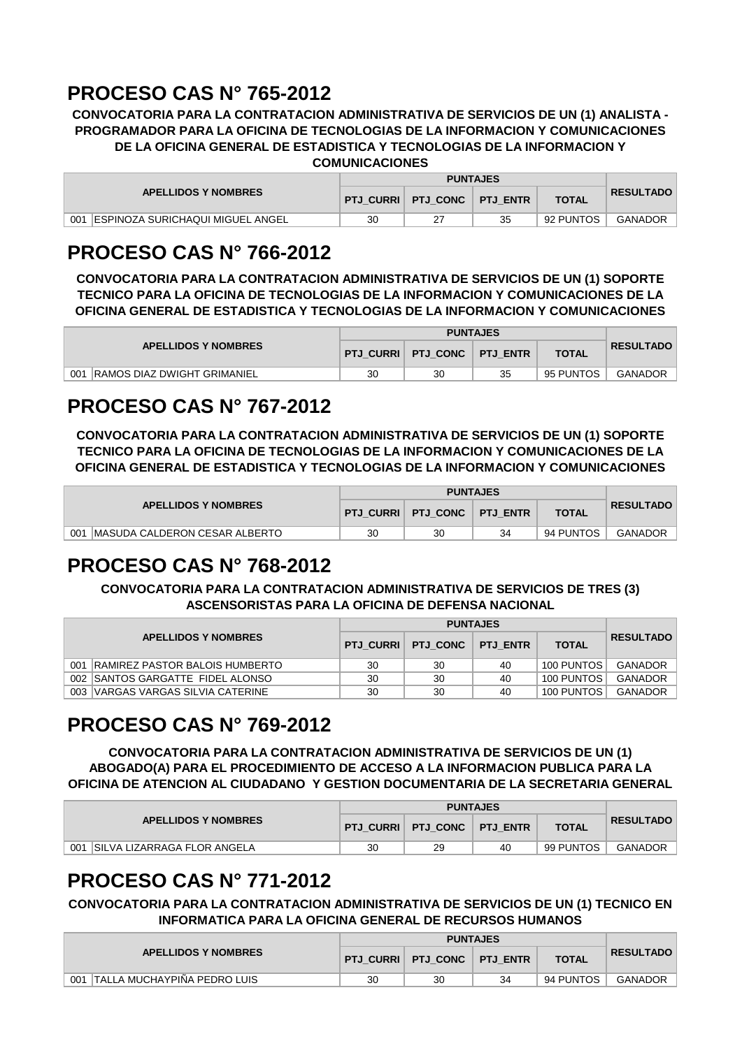## **PROCESO CAS N° 765-2012**

**CONVOCATORIA PARA LA CONTRATACION ADMINISTRATIVA DE SERVICIOS DE UN (1) ANALISTA - PROGRAMADOR PARA LA OFICINA DE TECNOLOGIAS DE LA INFORMACION Y COMUNICACIONES DE LA OFICINA GENERAL DE ESTADISTICA Y TECNOLOGIAS DE LA INFORMACION Y COMUNICACIONES**

| <b>APELLIDOS Y NOMBRES</b>              |    | PTJ_CURRI   PTJ_CONC | <b>PTJ ENTR</b> | <b>TOTAL</b> | <b>RESULTADO</b> |
|-----------------------------------------|----|----------------------|-----------------|--------------|------------------|
| 001<br>ESPINOZA SURICHAQUI MIGUEL ANGEL | 30 |                      | 35              | 92 PUNTOS    | GANADOR          |

## **PROCESO CAS N° 766-2012**

**CONVOCATORIA PARA LA CONTRATACION ADMINISTRATIVA DE SERVICIOS DE UN (1) SOPORTE TECNICO PARA LA OFICINA DE TECNOLOGIAS DE LA INFORMACION Y COMUNICACIONES DE LA OFICINA GENERAL DE ESTADISTICA Y TECNOLOGIAS DE LA INFORMACION Y COMUNICACIONES**

| <b>APELLIDOS Y NOMBRES</b>          |    | PTJ CURRI   PTJ CONC   PTJ ENTR |    | <b>TOTAL</b> | <b>RESULTADO</b> |
|-------------------------------------|----|---------------------------------|----|--------------|------------------|
| 001<br> RAMOS DIAZ DWIGHT GRIMANIEL | 30 | 30                              | 35 | 95 PUNTOS    | GANADOR          |

## **PROCESO CAS N° 767-2012**

**CONVOCATORIA PARA LA CONTRATACION ADMINISTRATIVA DE SERVICIOS DE UN (1) SOPORTE TECNICO PARA LA OFICINA DE TECNOLOGIAS DE LA INFORMACION Y COMUNICACIONES DE LA OFICINA GENERAL DE ESTADISTICA Y TECNOLOGIAS DE LA INFORMACION Y COMUNICACIONES**

|                                      |                  | <b>PUNTAJES</b>   |    |              |                  |  |  |
|--------------------------------------|------------------|-------------------|----|--------------|------------------|--|--|
| <b>APELLIDOS Y NOMBRES</b>           | <b>PTJ CURRI</b> | PTJ CONC FTJ ENTR |    | <b>TOTAL</b> | <b>RESULTADO</b> |  |  |
| MASUDA CALDERON CESAR ALBERTO<br>001 | 30               | 30                | 34 | 94 PUNTOS    | <b>GANADOR</b>   |  |  |

## **PROCESO CAS N° 768-2012**

**CONVOCATORIA PARA LA CONTRATACION ADMINISTRATIVA DE SERVICIOS DE TRES (3) ASCENSORISTAS PARA LA OFICINA DE DEFENSA NACIONAL**

|     | <b>APELLIDOS Y NOMBRES</b>        | <b>PTJ CURRII</b> | <b>PTJ CONC</b> | <b>PTJ ENTR</b> | <b>TOTAL</b> | <b>RESULTADO</b> |
|-----|-----------------------------------|-------------------|-----------------|-----------------|--------------|------------------|
| 001 | RAMIREZ PASTOR BALOIS HUMBERTO    | 30                | 30              | 40              | 100 PUNTOS   | GANADOR          |
|     | 002 SANTOS GARGATTE FIDEL ALONSO  | 30                | 30              | 40              | 100 PUNTOS   | GANADOR          |
|     | 003 VARGAS VARGAS SILVIA CATERINE | 30                | 30              | 40              | 100 PUNTOS   | GANADOR          |

## **PROCESO CAS N° 769-2012**

**CONVOCATORIA PARA LA CONTRATACION ADMINISTRATIVA DE SERVICIOS DE UN (1) ABOGADO(A) PARA EL PROCEDIMIENTO DE ACCESO A LA INFORMACION PUBLICA PARA LA OFICINA DE ATENCION AL CIUDADANO Y GESTION DOCUMENTARIA DE LA SECRETARIA GENERAL**

| <b>APELLIDOS Y NOMBRES</b>          |    | PTJ CURRI   PTJ CONC | <b>PTJ ENTR</b> | <b>TOTAL</b> | <b>RESULTADO</b> |
|-------------------------------------|----|----------------------|-----------------|--------------|------------------|
| 001<br>ISILVA LIZARRAGA FLOR ANGELA | 30 | 29                   | 40              | 99 PUNTOS    | <b>GANADOR</b>   |

## **PROCESO CAS N° 771-2012**

**CONVOCATORIA PARA LA CONTRATACION ADMINISTRATIVA DE SERVICIOS DE UN (1) TECNICO EN INFORMATICA PARA LA OFICINA GENERAL DE RECURSOS HUMANOS**

|                                    |    | <b>PUNTAJES</b>                 |    |              |                  |  |  |
|------------------------------------|----|---------------------------------|----|--------------|------------------|--|--|
| <b>APELLIDOS Y NOMBRES</b>         |    | PTJ CURRI   PTJ CONC   PTJ ENTR |    | <b>TOTAL</b> | <b>RESULTADO</b> |  |  |
| TALLA MUCHAYPIÑA PEDRO LUIS<br>001 | 30 | 30                              | 34 | 94 PUNTOS    | GANADOR          |  |  |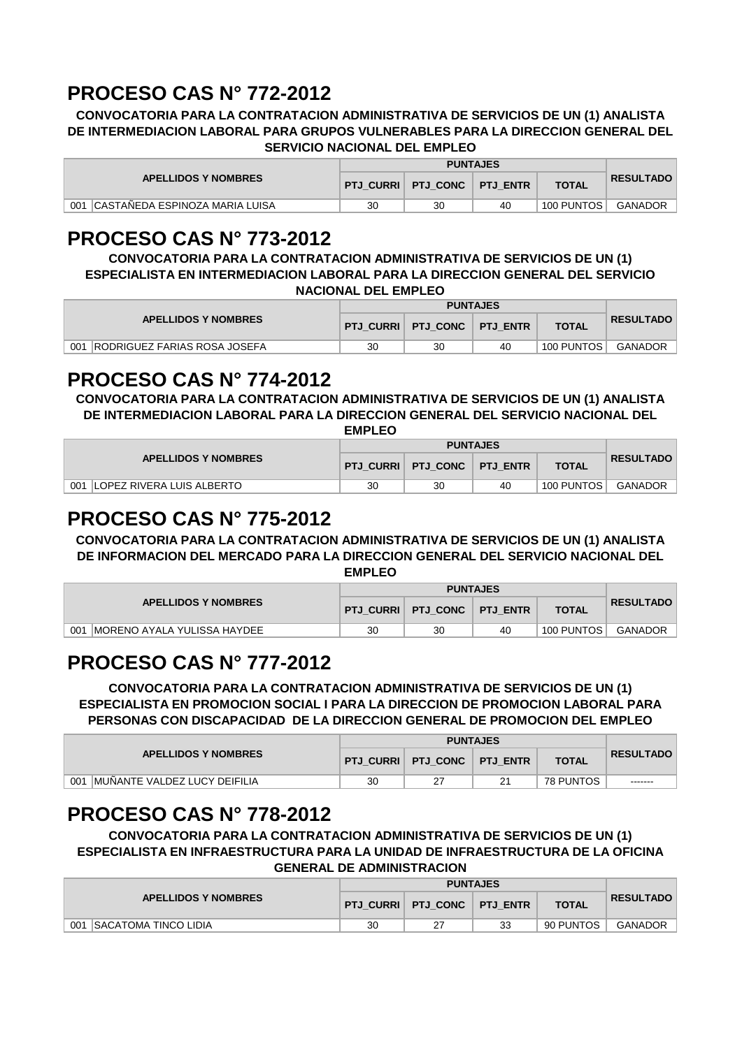# **PROCESO CAS N° 772-2012**

**CONVOCATORIA PARA LA CONTRATACION ADMINISTRATIVA DE SERVICIOS DE UN (1) ANALISTA DE INTERMEDIACION LABORAL PARA GRUPOS VULNERABLES PARA LA DIRECCION GENERAL DEL SERVICIO NACIONAL DEL EMPLEO**

| <b>APELLIDOS Y NOMBRES</b>            |    | PTJ CURRI   PTJ CONC   PTJ ENTR |    | <b>TOTAL</b> | <b>RESULTADO</b> |
|---------------------------------------|----|---------------------------------|----|--------------|------------------|
| CASTAÑEDA ESPINOZA MARIA LUISA<br>001 | 30 | 30                              | 40 | 100 PUNTOS   | GANADOR          |

## **PROCESO CAS N° 773-2012**

**CONVOCATORIA PARA LA CONTRATACION ADMINISTRATIVA DE SERVICIOS DE UN (1) ESPECIALISTA EN INTERMEDIACION LABORAL PARA LA DIRECCION GENERAL DEL SERVICIO NACIONAL DEL EMPLEO**

| <b>APELLIDOS Y NOMBRES</b>                  |    | PTJ_CURRI   PTJ_CONC   PTJ_ENTR |    | <b>TOTAL</b> | <b>RESULTADO</b> |
|---------------------------------------------|----|---------------------------------|----|--------------|------------------|
| 001<br><b>IRODRIGUEZ FARIAS ROSA JOSEFA</b> | 30 | 30                              | 40 | 100 PUNTOS   | GANADOR          |

#### **PROCESO CAS N° 774-2012**

**CONVOCATORIA PARA LA CONTRATACION ADMINISTRATIVA DE SERVICIOS DE UN (1) ANALISTA DE INTERMEDIACION LABORAL PARA LA DIRECCION GENERAL DEL SERVICIO NACIONAL DEL** 

**EMPLEO**

| <b>APELLIDOS Y NOMBRES</b>               |    | <b>PTJ CURRI PTJ CONC FTJ ENTR</b> |    | <b>TOTAL</b> | <b>RESULTADO</b> |
|------------------------------------------|----|------------------------------------|----|--------------|------------------|
| 001<br><b>ILOPEZ RIVERA LUIS ALBERTO</b> | 30 | 30                                 | 40 | 100 PUNTOS   | GANADOR          |

## **PROCESO CAS N° 775-2012**

**CONVOCATORIA PARA LA CONTRATACION ADMINISTRATIVA DE SERVICIOS DE UN (1) ANALISTA DE INFORMACION DEL MERCADO PARA LA DIRECCION GENERAL DEL SERVICIO NACIONAL DEL EMPLEO**

**PTJ\_CURRI PTJ\_CONC PTJ\_ENTR TOTAL** 001 MORENO AYALA YULISSA HAYDEE | 30 | 30 | 40 | 100 PUNTOS GANADOR **APELLIDOS Y NOMBRES RESULTADO PUNTAJES**

# **PROCESO CAS N° 777-2012**

**CONVOCATORIA PARA LA CONTRATACION ADMINISTRATIVA DE SERVICIOS DE UN (1) ESPECIALISTA EN PROMOCION SOCIAL I PARA LA DIRECCION DE PROMOCION LABORAL PARA PERSONAS CON DISCAPACIDAD DE LA DIRECCION GENERAL DE PROMOCION DEL EMPLEO**

| <b>APELLIDOS Y NOMBRES</b>                 |    | <b>PTJ CURRI PTJ CONC PTJ ENTR</b> | <b>TOTAL</b>     | <b>RESULTADO</b> |
|--------------------------------------------|----|------------------------------------|------------------|------------------|
| <b>MUÑANTE VALDEZ LUCY DEIFILIA</b><br>001 | 30 |                                    | <b>78 PUNTOS</b> | -------          |

# **PROCESO CAS N° 778-2012**

**CONVOCATORIA PARA LA CONTRATACION ADMINISTRATIVA DE SERVICIOS DE UN (1) ESPECIALISTA EN INFRAESTRUCTURA PARA LA UNIDAD DE INFRAESTRUCTURA DE LA OFICINA GENERAL DE ADMINISTRACION**

| <b>APELLIDOS Y NOMBRES</b>          |    |                      |                 |              |                  |
|-------------------------------------|----|----------------------|-----------------|--------------|------------------|
|                                     |    | PTJ CURRI FTJ CONC I | <b>PTJ ENTR</b> | <b>TOTAL</b> | <b>RESULTADO</b> |
| 001<br><b>ISACATOMA TINCO LIDIA</b> | 30 |                      | 33              | 90 PUNTOS    | <b>GANADOR</b>   |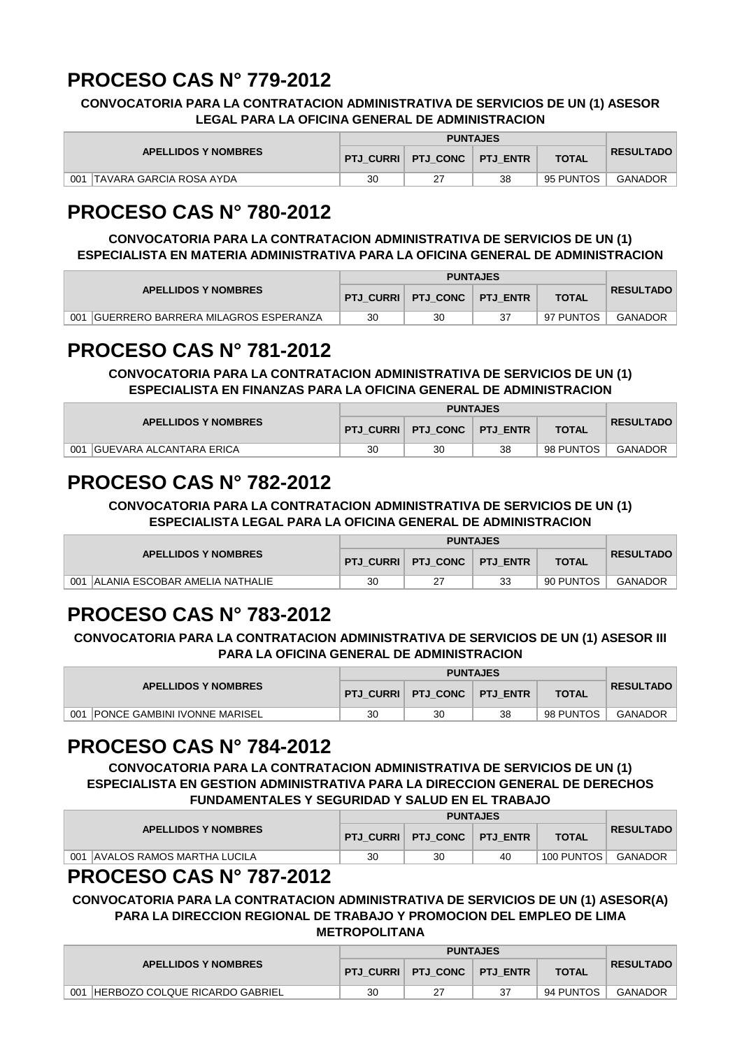## **PROCESO CAS N° 779-2012**

#### **CONVOCATORIA PARA LA CONTRATACION ADMINISTRATIVA DE SERVICIOS DE UN (1) ASESOR LEGAL PARA LA OFICINA GENERAL DE ADMINISTRACION**

| <b>APELLIDOS Y NOMBRES</b>      |    | PTJ CURRI   PTJ CONC   PTJ ENTR |    | <b>TOTAL</b> | <b>RESULTADO</b> |
|---------------------------------|----|---------------------------------|----|--------------|------------------|
| 001<br>ITAVARA GARCIA ROSA AYDA | 30 |                                 | 38 | 95 PUNTOS    | GANADOR          |

## **PROCESO CAS N° 780-2012**

#### **CONVOCATORIA PARA LA CONTRATACION ADMINISTRATIVA DE SERVICIOS DE UN (1) ESPECIALISTA EN MATERIA ADMINISTRATIVA PARA LA OFICINA GENERAL DE ADMINISTRACION**

| <b>APELLIDOS Y NOMBRES</b>                         |  |    | PTJ CURRI   PTJ CONC   PTJ ENTR |  | <b>TOTAL</b> | <b>RESULTADO</b> |
|----------------------------------------------------|--|----|---------------------------------|--|--------------|------------------|
| 001<br><b>IGUERRERO BARRERA MILAGROS ESPERANZA</b> |  | 30 | 30                              |  | 97 PUNTOS    | GANADOR          |

#### **PROCESO CAS N° 781-2012**

**CONVOCATORIA PARA LA CONTRATACION ADMINISTRATIVA DE SERVICIOS DE UN (1) ESPECIALISTA EN FINANZAS PARA LA OFICINA GENERAL DE ADMINISTRACION**

| <b>APELLIDOS Y NOMBRES</b>      |    | PTJ CURRI   PTJ CONC   PTJ ENTR |    | <b>TOTAL</b> | <b>RESULTADO</b> |
|---------------------------------|----|---------------------------------|----|--------------|------------------|
| 001<br> GUEVARA ALCANTARA ERICA | 30 | 30                              | 38 | 98 PUNTOS    | <b>GANADOR</b>   |

#### **PROCESO CAS N° 782-2012**

**CONVOCATORIA PARA LA CONTRATACION ADMINISTRATIVA DE SERVICIOS DE UN (1) ESPECIALISTA LEGAL PARA LA OFICINA GENERAL DE ADMINISTRACION**

| <b>APELLIDOS Y NOMBRES</b>             |    | PTJ CURRI   PTJ CONC   PTJ ENTR |    | <b>TOTAL</b> | <b>RESULTADO</b> |
|----------------------------------------|----|---------------------------------|----|--------------|------------------|
| 001<br>IALANIA ESCOBAR AMELIA NATHALIE | 30 |                                 | 33 | 90 PUNTOS    | GANADOR          |

## **PROCESO CAS N° 783-2012**

**CONVOCATORIA PARA LA CONTRATACION ADMINISTRATIVA DE SERVICIOS DE UN (1) ASESOR III PARA LA OFICINA GENERAL DE ADMINISTRACION**

| <b>APELLIDOS Y NOMBRES</b>                  |    | PTJ CURRI   PTJ CONC | <b>PTJ ENTR</b> | <b>TOTAL</b> | <b>RESULTADO</b> |
|---------------------------------------------|----|----------------------|-----------------|--------------|------------------|
| 001<br><b>IPONCE GAMBINI IVONNE MARISEL</b> | 30 | 30                   | 38              | 98 PUNTOS    | GANADOR          |

#### **PROCESO CAS N° 784-2012**

**CONVOCATORIA PARA LA CONTRATACION ADMINISTRATIVA DE SERVICIOS DE UN (1) ESPECIALISTA EN GESTION ADMINISTRATIVA PARA LA DIRECCION GENERAL DE DERECHOS FUNDAMENTALES Y SEGURIDAD Y SALUD EN EL TRABAJO**

| <b>APELLIDOS Y NOMBRES</b>                |    |                                 |    |              |                  |
|-------------------------------------------|----|---------------------------------|----|--------------|------------------|
|                                           |    | PTJ CURRI   PTJ CONC   PTJ ENTR |    | <b>TOTAL</b> | <b>RESULTADO</b> |
| 001<br><b>JAVALOS RAMOS MARTHA LUCILA</b> | 30 | 30                              | 40 | 100 PUNTOS   | GANADOR          |
| - - - - - - -<br>_ _ _ _ _ _ _            |    |                                 |    |              |                  |

## **PROCESO CAS N° 787-2012**

**CONVOCATORIA PARA LA CONTRATACION ADMINISTRATIVA DE SERVICIOS DE UN (1) ASESOR(A) PARA LA DIRECCION REGIONAL DE TRABAJO Y PROMOCION DEL EMPLEO DE LIMA METROPOLITANA**

| <b>APELLIDOS Y NOMBRES</b>             |    | PTJ_CURRI   PTJ_CONC   PTJ_ENTR |  | <b>TOTAL</b> | <b>RESULTADO</b> |
|----------------------------------------|----|---------------------------------|--|--------------|------------------|
| 001<br>IHERBOZO COLQUE RICARDO GABRIEL | 30 |                                 |  | 94 PUNTOS    | GANADOR          |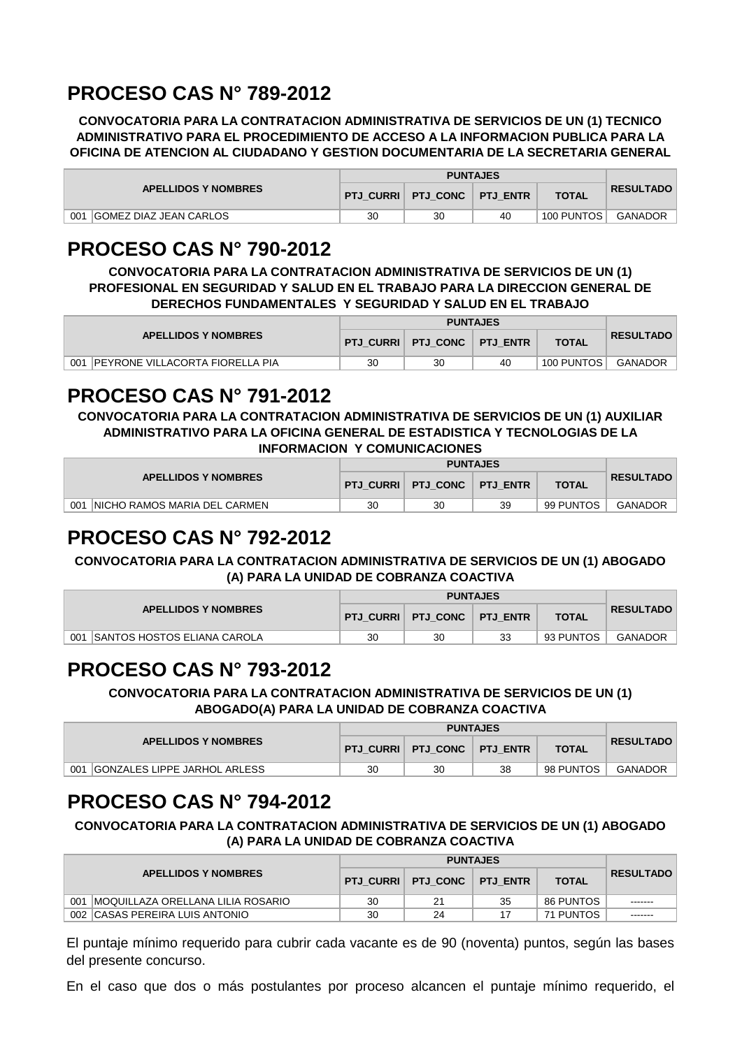# **PROCESO CAS N° 789-2012**

**CONVOCATORIA PARA LA CONTRATACION ADMINISTRATIVA DE SERVICIOS DE UN (1) TECNICO ADMINISTRATIVO PARA EL PROCEDIMIENTO DE ACCESO A LA INFORMACION PUBLICA PARA LA OFICINA DE ATENCION AL CIUDADANO Y GESTION DOCUMENTARIA DE LA SECRETARIA GENERAL**

| <b>APELLIDOS Y NOMBRES</b>            |    | PTJ CURRI   PTJ CONC   PTJ ENTR |    | <b>TOTAL</b> | <b>RESULTADO</b> |
|---------------------------------------|----|---------------------------------|----|--------------|------------------|
| 001<br><b>IGOMEZ DIAZ JEAN CARLOS</b> | 30 | 30                              | 40 | 100 PUNTOS   | GANADOR          |

#### **PROCESO CAS N° 790-2012**

**CONVOCATORIA PARA LA CONTRATACION ADMINISTRATIVA DE SERVICIOS DE UN (1) PROFESIONAL EN SEGURIDAD Y SALUD EN EL TRABAJO PARA LA DIRECCION GENERAL DE DERECHOS FUNDAMENTALES Y SEGURIDAD Y SALUD EN EL TRABAJO**

| <b>APELLIDOS Y NOMBRES</b>                     |    |                                    |    |              |                  |
|------------------------------------------------|----|------------------------------------|----|--------------|------------------|
|                                                |    | <b>PTJ CURRI PTJ CONC PTJ ENTR</b> |    | <b>TOTAL</b> | <b>RESULTADO</b> |
| 001<br><b>IPEYRONE VILLACORTA FIORELLA PIA</b> | 30 | 30                                 | 40 | 100 PUNTOS   | GANADOR          |

#### **PROCESO CAS N° 791-2012**

**CONVOCATORIA PARA LA CONTRATACION ADMINISTRATIVA DE SERVICIOS DE UN (1) AUXILIAR ADMINISTRATIVO PARA LA OFICINA GENERAL DE ESTADISTICA Y TECNOLOGIAS DE LA INFORMACION Y COMUNICACIONES**

| <b>APELLIDOS Y NOMBRES</b>           |    |                                 |    |              |                  |
|--------------------------------------|----|---------------------------------|----|--------------|------------------|
|                                      |    | PTJ CURRI   PTJ CONC   PTJ ENTR |    | <b>TOTAL</b> | <b>RESULTADO</b> |
| 001<br>INICHO RAMOS MARIA DEL CARMEN | 30 | 30                              | 39 | 99 PUNTOS    | <b>GANADOR</b>   |

#### **PROCESO CAS N° 792-2012**

**CONVOCATORIA PARA LA CONTRATACION ADMINISTRATIVA DE SERVICIOS DE UN (1) ABOGADO (A) PARA LA UNIDAD DE COBRANZA COACTIVA**

| <b>APELLIDOS Y NOMBRES</b>          |    |                                 |    |              |                  |
|-------------------------------------|----|---------------------------------|----|--------------|------------------|
|                                     |    | PTJ CURRI   PTJ CONC   PTJ ENTR |    | <b>TOTAL</b> | <b>RESULTADO</b> |
| 001<br>ISANTOS HOSTOS ELIANA CAROLA | 30 | 30                              | 33 | 93 PUNTOS    | GANADOR          |

## **PROCESO CAS N° 793-2012**

**CONVOCATORIA PARA LA CONTRATACION ADMINISTRATIVA DE SERVICIOS DE UN (1) ABOGADO(A) PARA LA UNIDAD DE COBRANZA COACTIVA**

| <b>APELLIDOS Y NOMBRES</b>                 |    |                                 |    |              |                  |
|--------------------------------------------|----|---------------------------------|----|--------------|------------------|
|                                            |    | PTJ CURRI   PTJ CONC   PTJ ENTR |    | <b>TOTAL</b> | <b>RESULTADO</b> |
| 001<br><b>GONZALES LIPPE JARHOL ARLESS</b> | 30 | 30                              | 38 | 98 PUNTOS    | GANADOR          |

## **PROCESO CAS N° 794-2012**

**CONVOCATORIA PARA LA CONTRATACION ADMINISTRATIVA DE SERVICIOS DE UN (1) ABOGADO (A) PARA LA UNIDAD DE COBRANZA COACTIVA**

| <b>APELLIDOS Y NOMBRES</b>               |    | PTJ CURRI   PTJ CONC | <b>PTJ ENTR</b> | <b>TOTAL</b> | <b>RESULTADO</b> |
|------------------------------------------|----|----------------------|-----------------|--------------|------------------|
| MOQUILLAZA ORELLANA LILIA ROSARIO<br>001 | 30 | 21                   | 35              | 86 PUNTOS    | -------          |
| 002 CASAS PEREIRA LUIS ANTONIO           | 30 | 24                   |                 | 71 PUNTOS    | -------          |

El puntaje mínimo requerido para cubrir cada vacante es de 90 (noventa) puntos, según las bases del presente concurso.

En el caso que dos o más postulantes por proceso alcancen el puntaje mínimo requerido, el